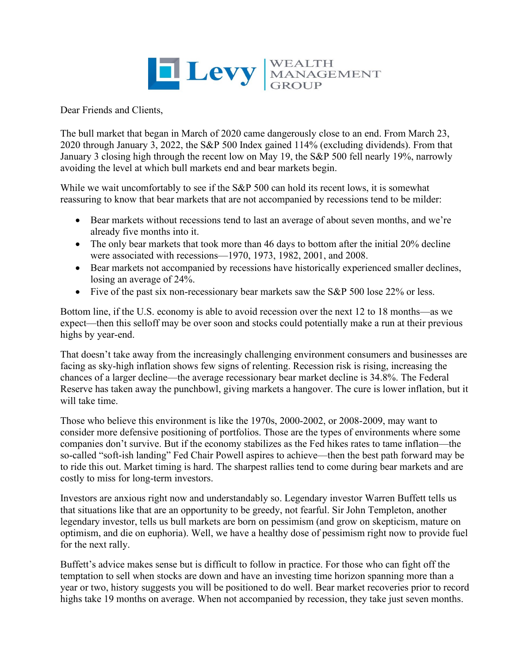

Dear Friends and Clients,

The bull market that began in March of 2020 came dangerously close to an end. From March 23, 2020 through January 3, 2022, the S&P 500 Index gained 114% (excluding dividends). From that January 3 closing high through the recent low on May 19, the S&P 500 fell nearly 19%, narrowly avoiding the level at which bull markets end and bear markets begin.

While we wait uncomfortably to see if the S&P 500 can hold its recent lows, it is somewhat reassuring to know that bear markets that are not accompanied by recessions tend to be milder:

- Bear markets without recessions tend to last an average of about seven months, and we're already five months into it.
- The only bear markets that took more than 46 days to bottom after the initial 20% decline were associated with recessions—1970, 1973, 1982, 2001, and 2008.
- Bear markets not accompanied by recessions have historically experienced smaller declines, losing an average of 24%.
- Five of the past six non-recessionary bear markets saw the S&P 500 lose 22% or less.

Bottom line, if the U.S. economy is able to avoid recession over the next 12 to 18 months—as we expect—then this selloff may be over soon and stocks could potentially make a run at their previous highs by year-end.

That doesn't take away from the increasingly challenging environment consumers and businesses are facing as sky-high inflation shows few signs of relenting. Recession risk is rising, increasing the chances of a larger decline—the average recessionary bear market decline is 34.8%. The Federal Reserve has taken away the punchbowl, giving markets a hangover. The cure is lower inflation, but it will take time.

Those who believe this environment is like the 1970s, 2000-2002, or 2008-2009, may want to consider more defensive positioning of portfolios. Those are the types of environments where some companies don't survive. But if the economy stabilizes as the Fed hikes rates to tame inflation—the so-called "soft-ish landing" Fed Chair Powell aspires to achieve—then the best path forward may be to ride this out. Market timing is hard. The sharpest rallies tend to come during bear markets and are costly to miss for long-term investors.

Investors are anxious right now and understandably so. Legendary investor Warren Buffett tells us that situations like that are an opportunity to be greedy, not fearful. Sir John Templeton, another legendary investor, tells us bull markets are born on pessimism (and grow on skepticism, mature on optimism, and die on euphoria). Well, we have a healthy dose of pessimism right now to provide fuel for the next rally.

Buffett's advice makes sense but is difficult to follow in practice. For those who can fight off the temptation to sell when stocks are down and have an investing time horizon spanning more than a year or two, history suggests you will be positioned to do well. Bear market recoveries prior to record highs take 19 months on average. When not accompanied by recession, they take just seven months.